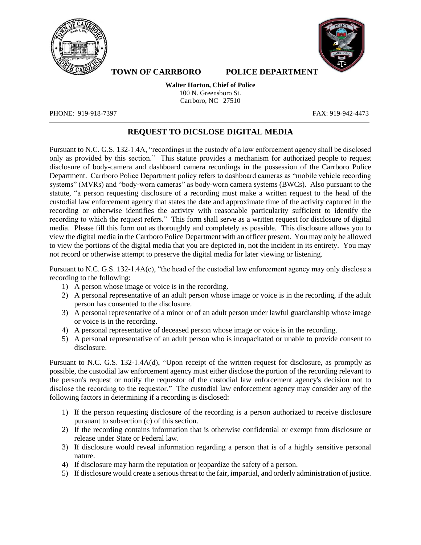



**TOWN OF CARRBORO POLICE DEPARTMENT** 

**Walter Horton, Chief of Police**  100 N. Greensboro St. Carrboro, NC 27510

PHONE: 919-918-7397 FAX: 919-942-4473

## **REQUEST TO DICSLOSE DIGITAL MEDIA**

Pursuant to N.C. G.S. 132-1.4A, "recordings in the custody of a law enforcement agency shall be disclosed only as provided by this section." This statute provides a mechanism for authorized people to request disclosure of body-camera and dashboard camera recordings in the possession of the Carrboro Police Department. Carrboro Police Department policy refers to dashboard cameras as "mobile vehicle recording systems" (MVRs) and "body-worn cameras" as body-worn camera systems (BWCs). Also pursuant to the statute, "a person requesting disclosure of a recording must make a written request to the head of the custodial law enforcement agency that states the date and approximate time of the activity captured in the recording or otherwise identifies the activity with reasonable particularity sufficient to identify the recording to which the request refers." This form shall serve as a written request for disclosure of digital media. Please fill this form out as thoroughly and completely as possible. This disclosure allows you to view the digital media in the Carrboro Police Department with an officer present. You may only be allowed to view the portions of the digital media that you are depicted in, not the incident in its entirety. You may not record or otherwise attempt to preserve the digital media for later viewing or listening.

Pursuant to N.C. G.S. 132-1.4A(c), "the head of the custodial law enforcement agency may only disclose a recording to the following:

- 1) A person whose image or voice is in the recording.
- 2) A personal representative of an adult person whose image or voice is in the recording, if the adult person has consented to the disclosure.
- 3) A personal representative of a minor or of an adult person under lawful guardianship whose image or voice is in the recording.
- 4) A personal representative of deceased person whose image or voice is in the recording.
- 5) A personal representative of an adult person who is incapacitated or unable to provide consent to disclosure.

Pursuant to N.C. G.S. 132-1.4A(d), "Upon receipt of the written request for disclosure, as promptly as possible, the custodial law enforcement agency must either disclose the portion of the recording relevant to the person's request or notify the requestor of the custodial law enforcement agency's decision not to disclose the recording to the requestor." The custodial law enforcement agency may consider any of the following factors in determining if a recording is disclosed:

- 1) If the person requesting disclosure of the recording is a person authorized to receive disclosure pursuant to subsection (c) of this section.
- 2) If the recording contains information that is otherwise confidential or exempt from disclosure or release under State or Federal law.
- 3) If disclosure would reveal information regarding a person that is of a highly sensitive personal nature.
- 4) If disclosure may harm the reputation or jeopardize the safety of a person.
- 5) If disclosure would create a serious threat to the fair, impartial, and orderly administration of justice.